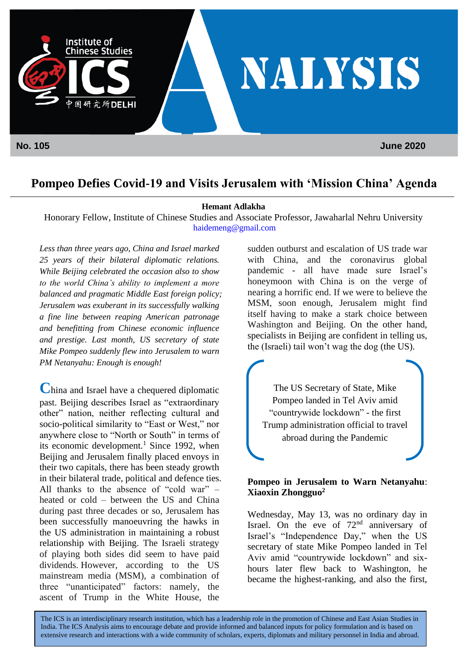

## **Pompeo Defies Covid-19 and Visits Jerusalem with 'Mission China' Agenda**

#### **Hemant Adlakha**

Honorary Fellow, Institute of Chinese Studies and Associate Professor, Jawaharlal Nehru University [haidemeng@gmail.com](mailto:haidemeng@gmail.com)

*Less than three years ago, China and Israel marked 25 years of their bilateral diplomatic relations. While Beijing celebrated the occasion also to show to the world China's ability to implement a more balanced and pragmatic Middle East foreign policy; Jerusalem was exuberant in its successfully walking a fine line between reaping American patronage and benefitting from Chinese economic influence and prestige. Last month, US secretary of state Mike Pompeo suddenly flew into Jerusalem to warn PM Netanyahu: Enough is enough!*

**C**hina and Israel have a chequered diplomatic past. Beijing describes Israel as "extraordinary other" nation, neither reflecting cultural and socio-political similarity to "East or West," nor anywhere close to "North or South" in terms of its economic development.<sup>1</sup> Since 1992, when Beijing and Jerusalem finally placed envoys in their two capitals, there has been steady growth in their bilateral trade, political and defence ties. All thanks to the absence of "cold war" – heated or cold – between the US and China during past three decades or so, Jerusalem has been successfully manoeuvring the hawks in the US administration in maintaining a robust relationship with Beijing. The Israeli strategy of playing both sides did seem to have paid dividends. However, according to the US mainstream media (MSM), a combination of three "unanticipated" factors: namely, the ascent of Trump in the White House, the

sudden outburst and escalation of US trade war with China, and the coronavirus global pandemic - all have made sure Israel's honeymoon with China is on the verge of nearing a horrific end. If we were to believe the MSM, soon enough, Jerusalem might find itself having to make a stark choice between Washington and Beijing. On the other hand, specialists in Beijing are confident in telling us, the (Israeli) tail won't wag the dog (the US).

The US Secretary of State, Mike Pompeo landed in Tel Aviv amid "countrywide lockdown" - the first Trump administration official to travel abroad during the Pandemic

#### **Pompeo in Jerusalem to Warn Netanyahu**: **Xiaoxin Zhongguo<sup>2</sup>**

Wednesday, May 13, was no ordinary day in Israel. On the eve of  $72<sup>nd</sup>$  anniversary of Israel's "Independence Day," when the US secretary of state Mike Pompeo landed in Tel Aviv amid "countrywide lockdown" and sixhours later flew back to Washington, he became the highest-ranking, and also the first,

The ICS is an interdisciplinary research institution, which has a leadership role in the promotion of Chinese and East Asian Studies in India. The ICS Analysis aims to encourage debate and provide informed and balanced inputs for policy formulation and is based on extensive research and interactions with a wide community of scholars, experts, diplomats and military personnel in India and abroad.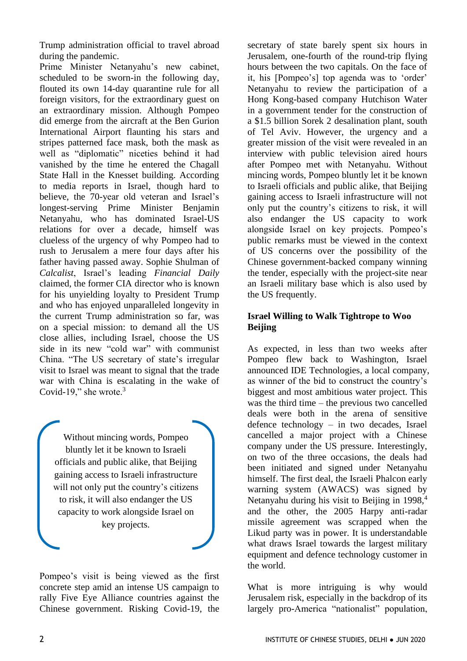Trump administration official to travel abroad during the pandemic.

Prime Minister Netanyahu's new cabinet, scheduled to be sworn-in the following day, flouted its own 14-day quarantine rule for all foreign visitors, for the extraordinary guest on an extraordinary mission. Although Pompeo did emerge from the aircraft at the Ben Gurion International Airport flaunting his stars and stripes patterned face mask, both the mask as well as "diplomatic" niceties behind it had vanished by the time he entered the Chagall State Hall in the Knesset building. According to media reports in Israel, though hard to believe, the 70-year old veteran and Israel's longest-serving Prime Minister Benjamin Netanyahu, who has dominated Israel-US relations for over a decade, himself was clueless of the urgency of why Pompeo had to rush to Jerusalem a mere four days after his father having passed away. Sophie Shulman of *Calcalist*, Israel's leading *Financial Daily* claimed, the former CIA director who is known for his unyielding loyalty to President Trump and who has enjoyed unparalleled longevity in the current Trump administration so far, was on a special mission: to demand all the US close allies, including Israel, choose the US side in its new "cold war" with communist China. "The US secretary of state's irregular visit to Israel was meant to signal that the trade war with China is escalating in the wake of Covid-19," she wrote.<sup>3</sup>

Without mincing words, Pompeo bluntly let it be known to Israeli officials and public alike, that Beijing gaining access to Israeli infrastructure will not only put the country's citizens to risk, it will also endanger the US capacity to work alongside Israel on key projects.

Pompeo's visit is being viewed as the first concrete step amid an intense US campaign to rally Five Eye Alliance countries against the Chinese government. Risking Covid-19, the

secretary of state barely spent six hours in Jerusalem, one-fourth of the round-trip flying hours between the two capitals. On the face of it, his [Pompeo's] top agenda was to 'order' Netanyahu to review the participation of a Hong Kong-based company Hutchison Water in a government tender for the construction of a \$1.5 billion Sorek 2 desalination plant, south of Tel Aviv. However, the urgency and a greater mission of the visit were revealed in an interview with public television aired hours after Pompeo met with Netanyahu. Without mincing words, Pompeo bluntly let it be known to Israeli officials and public alike, that Beijing gaining access to Israeli infrastructure will not only put the country's citizens to risk, it will also endanger the US capacity to work alongside Israel on key projects. Pompeo's public remarks must be viewed in the context of US concerns over the possibility of the Chinese government-backed company winning the tender, especially with the project-site near an Israeli military base which is also used by the US frequently.

### **Israel Willing to Walk Tightrope to Woo Beijing**

As expected, in less than two weeks after Pompeo flew back to Washington, Israel announced IDE Technologies, a local company, as winner of the bid to construct the country's biggest and most ambitious water project. This was the third time – the previous two cancelled deals were both in the arena of sensitive defence technology – in two decades, Israel cancelled a major project with a Chinese company under the US pressure. Interestingly, on two of the three occasions, the deals had been initiated and signed under Netanyahu himself. The first deal, the Israeli Phalcon early warning system (AWACS) was signed by Netanyahu during his visit to Beijing in  $1998<sup>4</sup>$ , and the other, the 2005 Harpy anti-radar missile agreement was scrapped when the Likud party was in power. It is understandable what draws Israel towards the largest military equipment and defence technology customer in the world.

What is more intriguing is why would Jerusalem risk, especially in the backdrop of its largely pro-America "nationalist" population,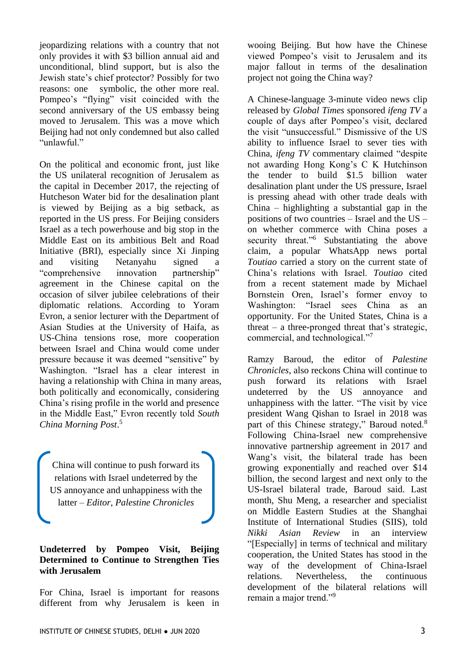jeopardizing relations with a country that not only provides it with \$3 billion annual aid and unconditional, blind support, but is also the Jewish state's chief protector? Possibly for two reasons: one symbolic, the other more real. Pompeo's "flying" visit coincided with the second anniversary of the US embassy being moved to Jerusalem. This was a move which Beijing had not only condemned but also called "unlawful."

On the political and economic front, just like the US unilateral recognition of Jerusalem as the capital in December 2017, the rejecting of Hutcheson Water bid for the desalination plant is viewed by Beijing as a big setback, as reported in the US press. For Beijing considers Israel as a tech powerhouse and big stop in the Middle East on its ambitious Belt and Road Initiative (BRI), especially since Xi Jinping and visiting Netanyahu signed a "comprehensive innovation partnership" agreement in the Chinese capital on the occasion of silver jubilee celebrations of their diplomatic relations. According to Yoram Evron, a senior lecturer with the Department of Asian Studies at the University of Haifa, as US-China tensions rose, more cooperation between Israel and China would come under pressure because it was deemed "sensitive" by Washington. "Israel has a clear interest in having a relationship with China in many areas, both politically and economically, considering China's rising profile in the world and presence in the Middle East," Evron recently told *South China Morning Post*. 5

China will continue to push forward its relations with Israel undeterred by the US annoyance and unhappiness with the latter – *Editor, Palestine Chronicles*

#### **Undeterred by Pompeo Visit, Beijing Determined to Continue to Strengthen Ties with Jerusalem**

For China, Israel is important for reasons different from why Jerusalem is keen in

wooing Beijing. But how have the Chinese viewed Pompeo's visit to Jerusalem and its major fallout in terms of the desalination project not going the China way?

A Chinese-language 3-minute video news clip released by *Global Times* sponsored *ifeng TV* a couple of days after Pompeo's visit, declared the visit "unsuccessful." Dismissive of the US ability to influence Israel to sever ties with China, *ifeng TV* commentary claimed "despite not awarding Hong Kong's C K Hutchinson the tender to build \$1.5 billion water desalination plant under the US pressure, Israel is pressing ahead with other trade deals with China – highlighting a substantial gap in the positions of two countries – Israel and the US – on whether commerce with China poses a security threat."<sup>6</sup> Substantiating the above claim, a popular WhatsApp news portal *Toutiao* carried a story on the current state of China's relations with Israel. *Toutiao* cited from a recent statement made by Michael Bornstein Oren, Israel's former envoy to Washington: "Israel sees China as an opportunity. For the United States, China is a threat – a three-pronged threat that's strategic, commercial, and technological."<sup>7</sup>

Ramzy Baroud, the editor of *Palestine Chronicles*, also reckons China will continue to push forward its relations with Israel undeterred by the US annoyance and unhappiness with the latter. "The visit by vice president Wang Qishan to Israel in 2018 was part of this Chinese strategy," Baroud noted.<sup>8</sup> Following China-Israel new comprehensive innovative partnership agreement in 2017 and Wang's visit, the bilateral trade has been growing exponentially and reached over \$14 billion, the second largest and next only to the US-Israel bilateral trade, Baroud said. Last month, Shu Meng, a researcher and specialist on Middle Eastern Studies at the Shanghai Institute of International Studies (SIIS), told *Nikki Asian Review* in an interview "[Especially] in terms of technical and military cooperation, the United States has stood in the way of the development of China-Israel relations. Nevertheless, the continuous development of the bilateral relations will remain a major trend."<sup>9</sup>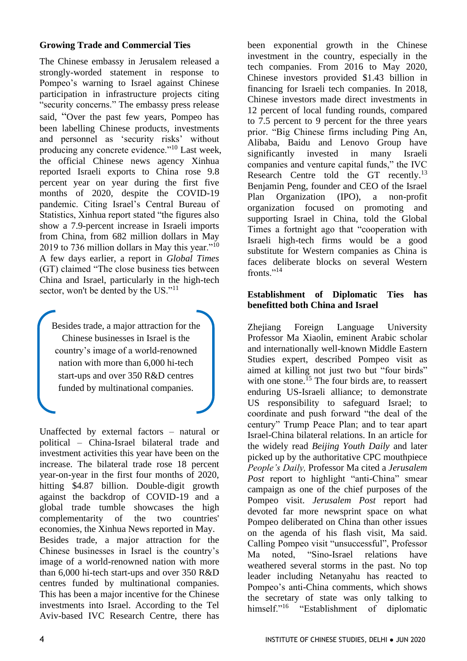#### **Growing Trade and Commercial Ties**

The Chinese embassy in Jerusalem released a strongly-worded statement in response to Pompeo's warning to Israel against Chinese participation in infrastructure projects citing "security concerns." The embassy press release said, "Over the past few years, Pompeo has been labelling Chinese products, investments and personnel as 'security risks' without producing any concrete evidence."<sup>10</sup> Last week, the official Chinese news agency Xinhua reported Israeli exports to China rose 9.8 percent year on year during the first five months of 2020, despite the COVID-19 pandemic. Citing Israel's Central Bureau of Statistics, Xinhua report stated "the figures also show a 7.9-percent increase in Israeli imports from China, from 682 million dollars in May 2019 to 736 million dollars in May this year."<sup>10</sup> A few days earlier, a report in *Global Times* (GT) claimed "The close business ties between China and Israel, particularly in the high-tech sector, won't be dented by the US."<sup>11</sup>

Besides trade, a major attraction for the Chinese businesses in Israel is the country's image of a world-renowned nation with more than 6,000 hi-tech start-ups and over 350 R&D centres funded by multinational companies.

Unaffected by external factors – natural or political – China-Israel bilateral trade and investment activities this year have been on the increase. The bilateral trade rose 18 percent year-on-year in the first four months of 2020, hitting \$4.87 billion. Double-digit growth against the backdrop of COVID-19 and a global trade tumble showcases the high complementarity of the two countries' economies, the Xinhua News reported in May. Besides trade, a major attraction for the Chinese businesses in Israel is the country's image of a world-renowned nation with more than 6,000 hi-tech start-ups and over 350 R&D centres funded by multinational companies. This has been a major incentive for the Chinese investments into Israel. According to the Tel Aviv-based IVC Research Centre, there has

been exponential growth in the Chinese investment in the country, especially in the tech companies. From 2016 to May 2020, Chinese investors provided \$1.43 billion in financing for Israeli tech companies. In 2018, Chinese investors made direct investments in 12 percent of local funding rounds, compared to 7.5 percent to 9 percent for the three years prior. "Big Chinese firms including Ping An, Alibaba, Baidu and Lenovo Group have significantly invested in many Israeli companies and venture capital funds," the IVC Research Centre told the GT recently.<sup>13</sup> Benjamin Peng, founder and CEO of the Israel Plan Organization (IPO), a non-profit organization focused on promoting and supporting Israel in China, told the Global Times a fortnight ago that "cooperation with Israeli high-tech firms would be a good substitute for Western companies as China is faces deliberate blocks on several Western fronts."<sup>14</sup>

#### **Establishment of Diplomatic Ties has benefitted both China and Israel**

Zhejiang Foreign Language University Professor Ma Xiaolin, eminent Arabic scholar and internationally well-known Middle Eastern Studies expert, described Pompeo visit as aimed at killing not just two but "four birds" with one stone.<sup>15</sup> The four birds are, to reassert enduring US-Israeli alliance; to demonstrate US responsibility to safeguard Israel; to coordinate and push forward "the deal of the century" Trump Peace Plan; and to tear apart Israel-China bilateral relations. In an article for the widely read *Beijing Youth Daily* and later picked up by the authoritative CPC mouthpiece *People's Daily,* Professor Ma cited a *Jerusalem Post* report to highlight "anti-China" smear campaign as one of the chief purposes of the Pompeo visit. *Jerusalem Post* report had devoted far more newsprint space on what Pompeo deliberated on China than other issues on the agenda of his flash visit, Ma said. Calling Pompeo visit "unsuccessful", Professor Ma noted, "Sino-Israel relations have weathered several storms in the past. No top leader including Netanyahu has reacted to Pompeo's anti-China comments, which shows the secretary of state was only talking to himself."<sup>16</sup> "Establishment of diplomatic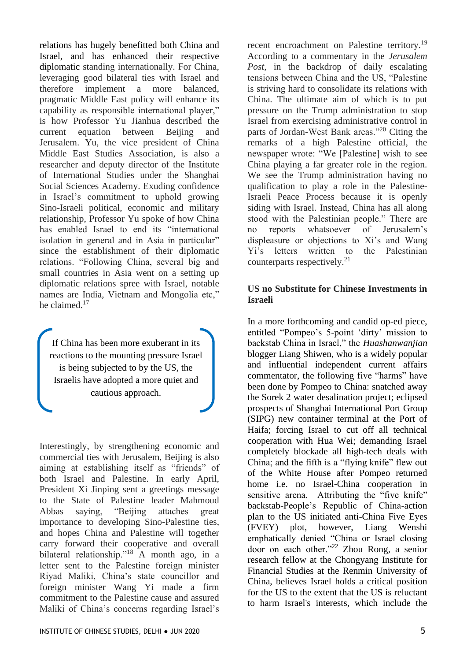relations has hugely benefitted both China and Israel, and has enhanced their respective diplomatic standing internationally. For China, leveraging good bilateral ties with Israel and therefore implement a more balanced, pragmatic Middle East policy will enhance its capability as responsible international player," is how Professor Yu Jianhua described the current equation between Beijing and Jerusalem. Yu, the vice president of China Middle East Studies Association, is also a researcher and deputy director of the Institute of International Studies under the Shanghai Social Sciences Academy. Exuding confidence in Israel's commitment to uphold growing Sino-Israeli political, economic and military relationship, Professor Yu spoke of how China has enabled Israel to end its "international isolation in general and in Asia in particular" since the establishment of their diplomatic relations. "Following China, several big and small countries in Asia went on a setting up diplomatic relations spree with Israel, notable names are India, Vietnam and Mongolia etc," he claimed.<sup>17</sup>

If China has been more exuberant in its reactions to the mounting pressure Israel is being subjected to by the US, the Israelis have adopted a more quiet and cautious approach.

Interestingly, by strengthening economic and commercial ties with Jerusalem, Beijing is also aiming at establishing itself as "friends" of both Israel and Palestine. In early April, President Xi Jinping sent a greetings message to the State of Palestine leader Mahmoud Abbas saying, "Beijing attaches great importance to developing Sino-Palestine ties, and hopes China and Palestine will together carry forward their cooperative and overall bilateral relationship."<sup>18</sup> A month ago, in a letter sent to the Palestine foreign minister Riyad Maliki, China's state councillor and foreign minister Wang Yi made a firm commitment to the Palestine cause and assured Maliki of China's concerns regarding Israel's

recent encroachment on Palestine territory.<sup>19</sup> According to a commentary in the *Jerusalem Post*, in the backdrop of daily escalating tensions between China and the US, "Palestine is striving hard to consolidate its relations with China. The ultimate aim of which is to put pressure on the Trump administration to stop Israel from exercising administrative control in parts of Jordan-West Bank areas."<sup>20</sup> Citing the remarks of a high Palestine official, the newspaper wrote: "We [Palestine] wish to see China playing a far greater role in the region. We see the Trump administration having no qualification to play a role in the Palestine-Israeli Peace Process because it is openly siding with Israel. Instead, China has all along stood with the Palestinian people." There are no reports whatsoever of Jerusalem's displeasure or objections to Xi's and Wang Yi's letters written to the Palestinian counterparts respectively.<sup>21</sup>

#### **US no Substitute for Chinese Investments in Israeli**

In a more forthcoming and candid op-ed piece, entitled "Pompeo's 5-point 'dirty' mission to backstab China in Israel," the *Huashanwanjian*  blogger Liang Shiwen, who is a widely popular and influential independent current affairs commentator, the following five "harms" have been done by Pompeo to China: snatched away the Sorek 2 water desalination project; eclipsed prospects of Shanghai International Port Group (SIPG) new container terminal at the Port of Haifa; forcing Israel to cut off all technical cooperation with Hua Wei; demanding Israel completely blockade all high-tech deals with China; and the fifth is a "flying knife" flew out of the White House after Pompeo returned home i.e. no Israel-China cooperation in sensitive arena. Attributing the "five knife" backstab-People's Republic of China-action plan to the US initiated anti-China Five Eyes (FVEY) plot, however, Liang Wenshi emphatically denied "China or Israel closing door on each other."<sup>22</sup> Zhou Rong, a senior research fellow at the Chongyang Institute for Financial Studies at the Renmin University of China, believes Israel holds a critical position for the US to the extent that the US is reluctant to harm Israel's interests, which include the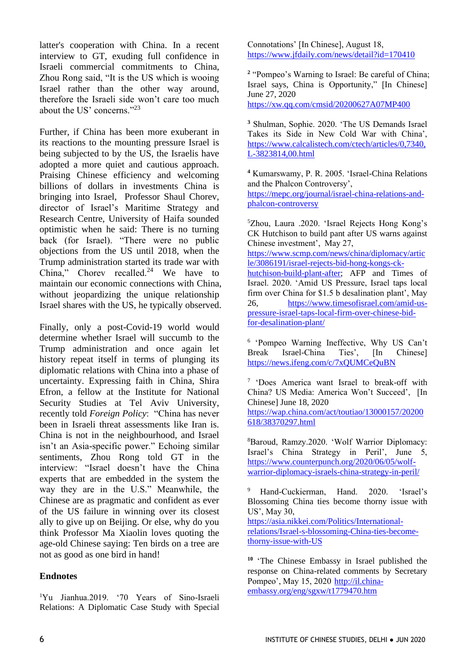latter's cooperation with China. In a recent interview to GT, exuding full confidence in Israeli commercial commitments to China, Zhou Rong said, "It is the US which is wooing Israel rather than the other way around, therefore the Israeli side won't care too much about the US' concerns."<sup>23</sup>

Further, if China has been more exuberant in its reactions to the mounting pressure Israel is being subjected to by the US, the Israelis have adopted a more quiet and cautious approach. Praising Chinese efficiency and welcoming billions of dollars in investments China is bringing into Israel, Professor Shaul Chorev, director of Israel's Maritime Strategy and Research Centre, University of Haifa sounded optimistic when he said: There is no turning back (for Israel). "There were no public objections from the US until 2018, when the Trump administration started its trade war with China," Chorev recalled.<sup>24</sup> We have to maintain our economic connections with China, without jeopardizing the unique relationship Israel shares with the US, he typically observed.

Finally, only a post-Covid-19 world would determine whether Israel will succumb to the Trump administration and once again let history repeat itself in terms of plunging its diplomatic relations with China into a phase of uncertainty. Expressing faith in China, Shira Efron, a fellow at the Institute for National Security Studies at Tel Aviv University, recently told *Foreign Policy*: "China has never been in Israeli threat assessments like Iran is. China is not in the neighbourhood, and Israel isn't an Asia-specific power." Echoing similar sentiments, Zhou Rong told GT in the interview: "Israel doesn't have the China experts that are embedded in the system the way they are in the U.S." Meanwhile, the Chinese are as pragmatic and confident as ever of the US failure in winning over its closest ally to give up on Beijing. Or else, why do you think Professor Ma Xiaolin loves quoting the age-old Chinese saying: Ten birds on a tree are not as good as one bird in hand!

## **Endnotes**

<sup>1</sup>Yu Jianhua.2019. '70 Years of Sino-Israeli Relations: A Diplomatic Case Study with Special

Connotations' [In Chinese], August 18, <https://www.jfdaily.com/news/detail?id=170410>

<sup>2</sup> "Pompeo's Warning to Israel: Be careful of China; Israel says, China is Opportunity," [In Chinese] June 27, 2020 <https://xw.qq.com/cmsid/20200627A07MP400>

**<sup>3</sup>** Shulman, Sophie. 2020. 'The US Demands Israel Takes its Side in New Cold War with China', [https://www.calcalistech.com/ctech/articles/0,7340,](https://www.calcalistech.com/ctech/articles/0,7340,L-3823814,00.html)  $\overline{L}$ -3823814,00.html

**<sup>4</sup>** Kumarswamy, P. R. 2005. 'Israel-China Relations and the Phalcon Controversy', [https://mepc.org/journal/israel-china-relations-and](https://mepc.org/journal/israel-china-relations-and-phalcon-controversy)[phalcon-controversy](https://mepc.org/journal/israel-china-relations-and-phalcon-controversy)

<sup>5</sup>Zhou, Laura .2020. 'Israel Rejects Hong Kong's CK Hutchison to build pant after US warns against Chinese investment', May 27,

[https://www.scmp.com/news/china/diplomacy/artic](https://www.scmp.com/news/china/diplomacy/article/3086191/israel-rejects-bid-hong-kongs-ck-hutchison-build-plant-after) [le/3086191/israel-rejects-bid-hong-kongs-ck-](https://www.scmp.com/news/china/diplomacy/article/3086191/israel-rejects-bid-hong-kongs-ck-hutchison-build-plant-after)

[hutchison-build-plant-after;](https://www.scmp.com/news/china/diplomacy/article/3086191/israel-rejects-bid-hong-kongs-ck-hutchison-build-plant-after) AFP and Times of Israel. 2020. 'Amid US Pressure, Israel taps local firm over China for \$1.5 b desalination plant', May 26, [https://www.timesofisrael.com/amid-us](https://www.timesofisrael.com/amid-us-pressure-israel-taps-local-firm-over-chinese-bid-for-desalination-plant/)[pressure-israel-taps-local-firm-over-chinese-bid](https://www.timesofisrael.com/amid-us-pressure-israel-taps-local-firm-over-chinese-bid-for-desalination-plant/)[for-desalination-plant/](https://www.timesofisrael.com/amid-us-pressure-israel-taps-local-firm-over-chinese-bid-for-desalination-plant/)

6 'Pompeo Warning Ineffective, Why US Can't Break Israel-China Ties', [In Chinese] <https://news.ifeng.com/c/7xQUMCeQuBN>

<sup>7</sup> 'Does America want Israel to break-off with China? US Media: America Won't Succeed', [In Chinese] June 18, 2020 [https://wap.china.com/act/toutiao/13000157/20200](https://wap.china.com/act/toutiao/13000157/20200618/38370297.html) [618/38370297.html](https://wap.china.com/act/toutiao/13000157/20200618/38370297.html) 

<sup>8</sup>Baroud, Ramzy.2020. 'Wolf Warrior Diplomacy: Israel's China Strategy in Peril', June 5, [https://www.counterpunch.org/2020/06/05/wolf](https://www.counterpunch.org/2020/06/05/wolf-warrior-diplomacy-israels-china-strategy-in-peril/)[warrior-diplomacy-israels-china-strategy-in-peril/](https://www.counterpunch.org/2020/06/05/wolf-warrior-diplomacy-israels-china-strategy-in-peril/)

<sup>9</sup> Hand-Cuckierman, Hand. 2020. 'Israel's Blossoming China ties become thorny issue with US', May 30,

[https://asia.nikkei.com/Politics/International](https://asia.nikkei.com/Politics/International-relations/Israel-s-blossoming-China-ties-become-thorny-issue-with-US)[relations/Israel-s-blossoming-China-ties-become](https://asia.nikkei.com/Politics/International-relations/Israel-s-blossoming-China-ties-become-thorny-issue-with-US)[thorny-issue-with-US](https://asia.nikkei.com/Politics/International-relations/Israel-s-blossoming-China-ties-become-thorny-issue-with-US)

**10** 'The Chinese Embassy in Israel published the response on China-related comments by Secretary Pompeo', May 15, 2020 [http://il.china](http://il.china-embassy.org/eng/sgxw/t1779470.htm)[embassy.org/eng/sgxw/t1779470.htm](http://il.china-embassy.org/eng/sgxw/t1779470.htm)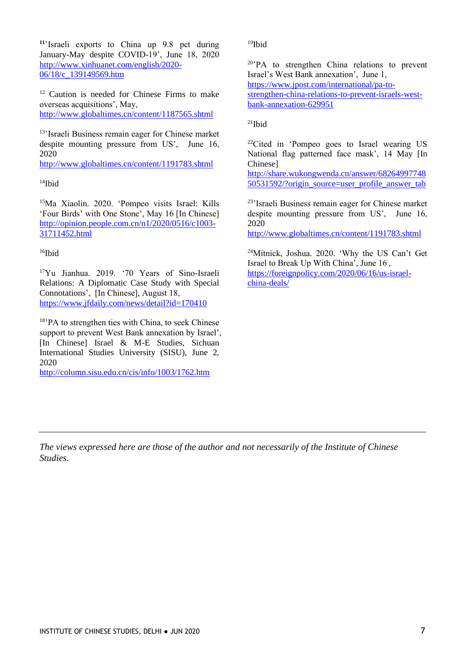**<sup>11</sup>**'Israeli exports to China up 9.8 pct during January-May despite COVID-19', June 18, 2020 [http://www.xinhuanet.com/english/2020-](http://www.xinhuanet.com/english/2020-06/18/c_139149569.htm) 06/18/c 139149569.htm

<sup>12</sup> Caution is needed for Chinese Firms to make overseas acquisitions', May, <http://www.globaltimes.cn/content/1187565.shtml>

<sup>13</sup>'Israeli Business remain eager for Chinese market despite mounting pressure from US', June 16, 2020

<http://www.globaltimes.cn/content/1191783.shtml>

 $14$ Ibid

<sup>15</sup>Ma Xiaolin. 2020. 'Pompeo visits Israel: Kills 'Four Birds' with One Stone', May 16 [In Chinese] [http://opinion.people.com.cn/n1/2020/0516/c1003-](http://opinion.people.com.cn/n1/2020/0516/c1003-31711452.html) [31711452.html](http://opinion.people.com.cn/n1/2020/0516/c1003-31711452.html)

 $16$ Ibid

<sup>17</sup>Yu Jianhua. 2019. '70 Years of Sino-Israeli Relations: A Diplomatic Case Study with Special Connotations', [In Chinese], August 18, <https://www.jfdaily.com/news/detail?id=170410>

<sup>18</sup>'PA to strengthen ties with China, to seek Chinese support to prevent West Bank annexation by Israel'. [In Chinese] Israel & M-E Studies, Sichuan International Studies University (SISU), June 2, 2020

<http://column.sisu.edu.cn/cis/info/1003/1762.htm>

 $19$ Ibid

<sup>20</sup>'PA to strengthen China relations to prevent Israel's West Bank annexation', June 1, [https://www.jpost.com/international/pa-to-](https://www.jpost.com/international/pa-to-strengthen-china-relations-to-prevent-israels-west-bank-annexation-629951)

[strengthen-china-relations-to-prevent-israels-west](https://www.jpost.com/international/pa-to-strengthen-china-relations-to-prevent-israels-west-bank-annexation-629951)[bank-annexation-629951](https://www.jpost.com/international/pa-to-strengthen-china-relations-to-prevent-israels-west-bank-annexation-629951)

 $^{21}$ Ibid

<sup>22</sup>Cited in 'Pompeo goes to Israel wearing US National flag patterned face mask', 14 May [In Chinese]

[http://share.wukongwenda.cn/answer/68264997748](http://share.wukongwenda.cn/answer/6826499774850531592/?origin_source=user_profile_answer_tab) [50531592/?origin\\_source=user\\_profile\\_answer\\_tab](http://share.wukongwenda.cn/answer/6826499774850531592/?origin_source=user_profile_answer_tab)

<sup>23</sup>'Israeli Business remain eager for Chinese market despite mounting pressure from US', June 16, 2020

<http://www.globaltimes.cn/content/1191783.shtml>

<sup>24</sup>Mitnick, Joshua. 2020. 'Why the US Can't Get Israel to Break Up With China', June 16 , [https://foreignpolicy.com/2020/06/16/us-israel](https://foreignpolicy.com/2020/06/16/us-israel-china-deals/)[china-deals/](https://foreignpolicy.com/2020/06/16/us-israel-china-deals/)

*The views expressed here are those of the author and not necessarily of the Institute of Chinese Studies.*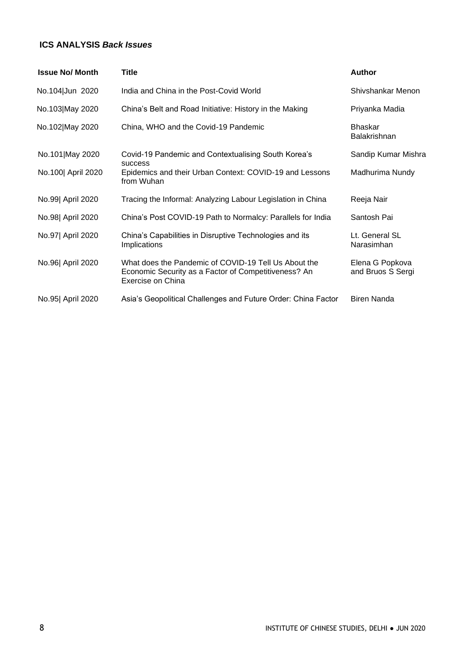#### **ICS ANALYSIS** *Back Issues*

| <b>Issue No/ Month</b> | Title                                                                                                                             | <b>Author</b>                        |
|------------------------|-----------------------------------------------------------------------------------------------------------------------------------|--------------------------------------|
| No.104 Jun 2020        | India and China in the Post-Covid World                                                                                           | Shivshankar Menon                    |
| No.103 May 2020        | China's Belt and Road Initiative: History in the Making                                                                           | Priyanka Madia                       |
| No.102 May 2020        | China, WHO and the Covid-19 Pandemic                                                                                              | <b>Bhaskar</b><br>Balakrishnan       |
| No.101 May 2020        | Covid-19 Pandemic and Contextualising South Korea's<br><b>SUCCESS</b>                                                             | Sandip Kumar Mishra                  |
| No.100 April 2020      | Epidemics and their Urban Context: COVID-19 and Lessons<br>from Wuhan                                                             | Madhurima Nundy                      |
| No.99 April 2020       | Tracing the Informal: Analyzing Labour Legislation in China                                                                       | Reeja Nair                           |
| No.98  April 2020      | China's Post COVID-19 Path to Normalcy: Parallels for India                                                                       | Santosh Pai                          |
| No.97 April 2020       | China's Capabilities in Disruptive Technologies and its<br>Implications                                                           | Lt. General SL<br>Narasimhan         |
| No.96  April 2020      | What does the Pandemic of COVID-19 Tell Us About the<br>Economic Security as a Factor of Competitiveness? An<br>Exercise on China | Elena G Popkova<br>and Bruos S Sergi |
| No.95  April 2020      | Asia's Geopolitical Challenges and Future Order: China Factor                                                                     | <b>Biren Nanda</b>                   |